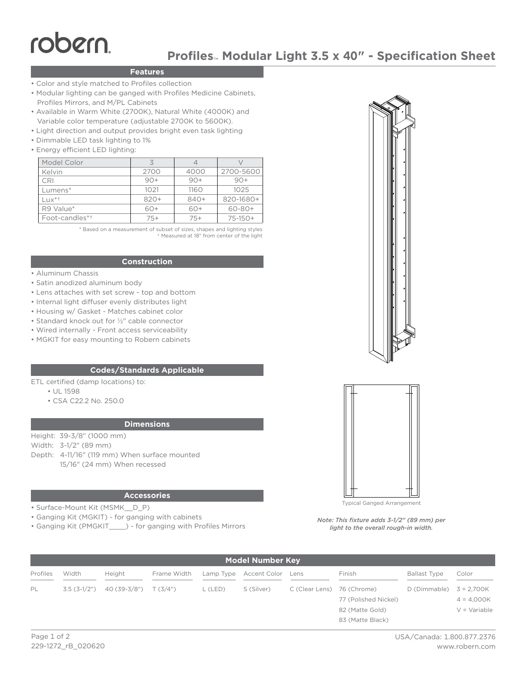# robern

# **Profiles**™ **Modular Light 3.5 x 40" - Specification Sheet**

# **Features**

- Color and style matched to Profiles collection
- Modular lighting can be ganged with Profiles Medicine Cabinets, Profiles Mirrors, and M/PL Cabinets
- Available in Warm White (2700K), Natural White (4000K) and Variable color temperature (adjustable 2700K to 5600K).
- Light direction and output provides bright even task lighting
- Dimmable LED task lighting to 1%
- Energy efficient LED lighting:

| Model Color                | 3      |       |              |
|----------------------------|--------|-------|--------------|
| Kelvin                     | 2700   | 4000  | 2700-5600    |
| <b>CRI</b>                 | $90+$  | $90+$ | $90+$        |
| Lumens*                    | 1021   | 1160  | 1025         |
| $ Ux^* $                   | $820+$ | 840+  | 820-1680+    |
| R9 Value*                  | 60+    | 60+   | $60 - 80 +$  |
| Foot-candles* <sup>+</sup> | $75+$  | $75+$ | $75 - 150 +$ |

\* Based on a measurement of subset of sizes, shapes and lighting styles † Measured at 18" from center of the light

## **Construction**

- Aluminum Chassis
- Satin anodized aluminum body
- Lens attaches with set screw top and bottom
- Internal light diffuser evenly distributes light
- Housing w/ Gasket Matches cabinet color
- Standard knock out for ½" cable connector
- Wired internally Front access serviceability
- MGKIT for easy mounting to Robern cabinets

#### **Codes/Standards Applicable**

- ETL certified (damp locations) to:
	- UL 1598
		- CSA C22.2 No. 250.0

#### **Dimensions**

Height: 39-3/8" (1000 mm) Width: 3-1/2" (89 mm) Depth: 4-11/16" (119 mm) When surface mounted 15/16" (24 mm) When recessed

# **Accessories**

• Surface-Mount Kit (MSMK\_\_D\_P)

• Ganging Kit (MGKIT) - for ganging with cabinets

• Ganging Kit (PMGKIT\_\_\_\_) - for ganging with Profiles Mirrors





Typical Ganged Arrangement

*Note: This fixture adds 3-1/2" (89 mm) per light to the overall rough-in width.*

| <b>Model Number Key</b> |       |                                   |             |         |                             |                            |                      |                           |                       |  |  |
|-------------------------|-------|-----------------------------------|-------------|---------|-----------------------------|----------------------------|----------------------|---------------------------|-----------------------|--|--|
| Profiles                | Width | Height                            | Frame Width |         | Lamp Type Accent Color Lens |                            | Finish               | <b>Ballast Type</b>       | Color                 |  |  |
| PL                      |       | $3.5(3-1/2")$ 40(39-3/8") T(3/4") |             | L (LED) | S (Silver)                  | C (Clear Lens) 76 (Chrome) |                      | D (Dimmable) $3 = 2,700K$ |                       |  |  |
|                         |       |                                   |             |         |                             |                            | 77 (Polished Nickel) |                           | $4 = 4,000K$          |  |  |
|                         |       |                                   |             |         |                             |                            | 82 (Matte Gold)      |                           | $V = \text{Variable}$ |  |  |
|                         |       |                                   |             |         |                             |                            | 83 (Matte Black)     |                           |                       |  |  |